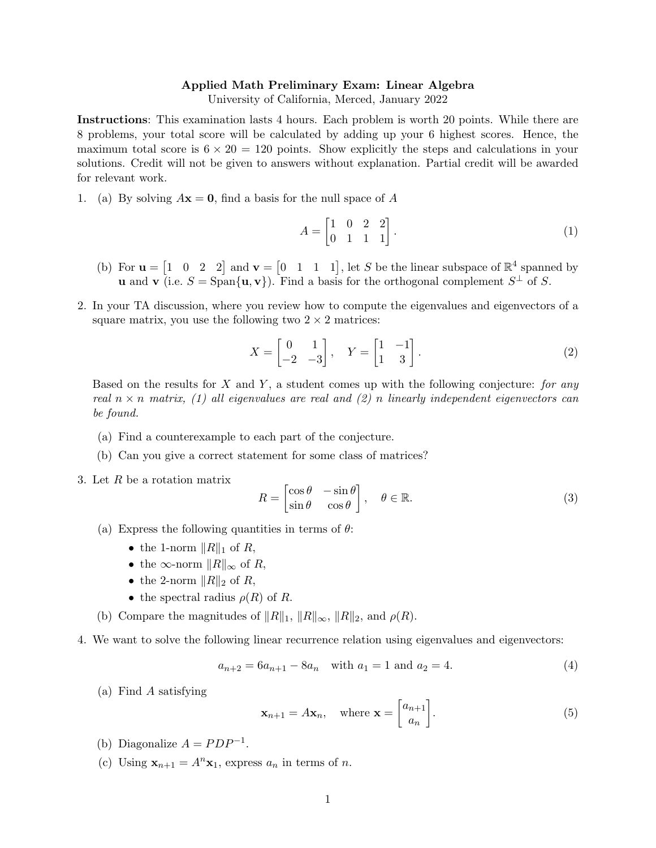## Applied Math Preliminary Exam: Linear Algebra

University of California, Merced, January 2022

Instructions: This examination lasts 4 hours. Each problem is worth 20 points. While there are 8 problems, your total score will be calculated by adding up your 6 highest scores. Hence, the maximum total score is  $6 \times 20 = 120$  points. Show explicitly the steps and calculations in your solutions. Credit will not be given to answers without explanation. Partial credit will be awarded for relevant work.

1. (a) By solving  $A\mathbf{x} = \mathbf{0}$ , find a basis for the null space of A

$$
A = \begin{bmatrix} 1 & 0 & 2 & 2 \\ 0 & 1 & 1 & 1 \end{bmatrix} . \tag{1}
$$

- (b) For  $\mathbf{u} = \begin{bmatrix} 1 & 0 & 2 & 2 \end{bmatrix}$  and  $\mathbf{v} = \begin{bmatrix} 0 & 1 & 1 & 1 \end{bmatrix}$ , let S be the linear subspace of  $\mathbb{R}^4$  spanned by **u** and **v** (i.e.  $S = \text{Span}\{\mathbf{u}, \mathbf{v}\}\)$ . Find a basis for the orthogonal complement  $S^{\perp}$  of S.
- 2. In your TA discussion, where you review how to compute the eigenvalues and eigenvectors of a square matrix, you use the following two  $2 \times 2$  matrices:

$$
X = \begin{bmatrix} 0 & 1 \\ -2 & -3 \end{bmatrix}, \quad Y = \begin{bmatrix} 1 & -1 \\ 1 & 3 \end{bmatrix}.
$$
 (2)

Based on the results for X and Y, a student comes up with the following conjecture: for any real  $n \times n$  matrix, (1) all eigenvalues are real and (2) n linearly independent eigenvectors can be found.

- (a) Find a counterexample to each part of the conjecture.
- (b) Can you give a correct statement for some class of matrices?
- 3. Let R be a rotation matrix

$$
R = \begin{bmatrix} \cos \theta & -\sin \theta \\ \sin \theta & \cos \theta \end{bmatrix}, \quad \theta \in \mathbb{R}.
$$
 (3)

- (a) Express the following quantities in terms of  $\theta$ :
	- the 1-norm  $||R||_1$  of R,
	- the ∞-norm  $||R||_{\infty}$  of R,
	- the 2-norm  $||R||_2$  of R,
	- the spectral radius  $\rho(R)$  of R.
- (b) Compare the magnitudes of  $||R||_1$ ,  $||R||_{\infty}$ ,  $||R||_2$ , and  $\rho(R)$ .
- 4. We want to solve the following linear recurrence relation using eigenvalues and eigenvectors:

$$
a_{n+2} = 6a_{n+1} - 8a_n \quad \text{with } a_1 = 1 \text{ and } a_2 = 4. \tag{4}
$$

(a) Find A satisfying

$$
\mathbf{x}_{n+1} = A\mathbf{x}_n, \quad \text{where } \mathbf{x} = \begin{bmatrix} a_{n+1} \\ a_n \end{bmatrix}.
$$
 (5)

- (b) Diagonalize  $A = PDP^{-1}$ .
- (c) Using  $\mathbf{x}_{n+1} = A^n \mathbf{x}_1$ , express  $a_n$  in terms of n.